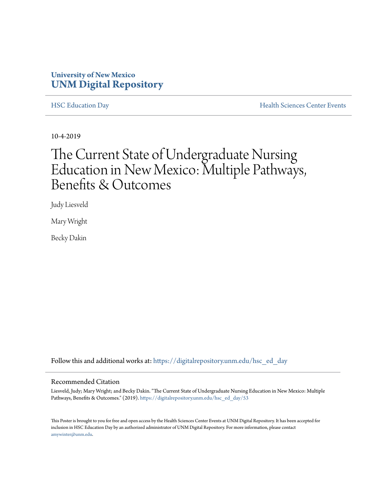#### **University of New Mexico [UNM Digital Repository](https://digitalrepository.unm.edu/?utm_source=digitalrepository.unm.edu%2Fhsc_ed_day%2F53&utm_medium=PDF&utm_campaign=PDFCoverPages)**

[HSC Education Day](https://digitalrepository.unm.edu/hsc_ed_day?utm_source=digitalrepository.unm.edu%2Fhsc_ed_day%2F53&utm_medium=PDF&utm_campaign=PDFCoverPages) **[Health Sciences Center Events](https://digitalrepository.unm.edu/hsc_events?utm_source=digitalrepository.unm.edu%2Fhsc_ed_day%2F53&utm_medium=PDF&utm_campaign=PDFCoverPages)** 

10-4-2019

#### The Current State of Undergraduate Nursing Education in New Mexico: Multiple Pathways, Benefits & Outcomes

Judy Liesveld

Mary Wright

Becky Dakin

Follow this and additional works at: [https://digitalrepository.unm.edu/hsc\\_ed\\_day](https://digitalrepository.unm.edu/hsc_ed_day?utm_source=digitalrepository.unm.edu%2Fhsc_ed_day%2F53&utm_medium=PDF&utm_campaign=PDFCoverPages)

#### Recommended Citation

Liesveld, Judy; Mary Wright; and Becky Dakin. "The Current State of Undergraduate Nursing Education in New Mexico: Multiple Pathways, Benefits & Outcomes." (2019). [https://digitalrepository.unm.edu/hsc\\_ed\\_day/53](https://digitalrepository.unm.edu/hsc_ed_day/53?utm_source=digitalrepository.unm.edu%2Fhsc_ed_day%2F53&utm_medium=PDF&utm_campaign=PDFCoverPages)

This Poster is brought to you for free and open access by the Health Sciences Center Events at UNM Digital Repository. It has been accepted for inclusion in HSC Education Day by an authorized administrator of UNM Digital Repository. For more information, please contact [amywinter@unm.edu](mailto:amywinter@unm.edu).